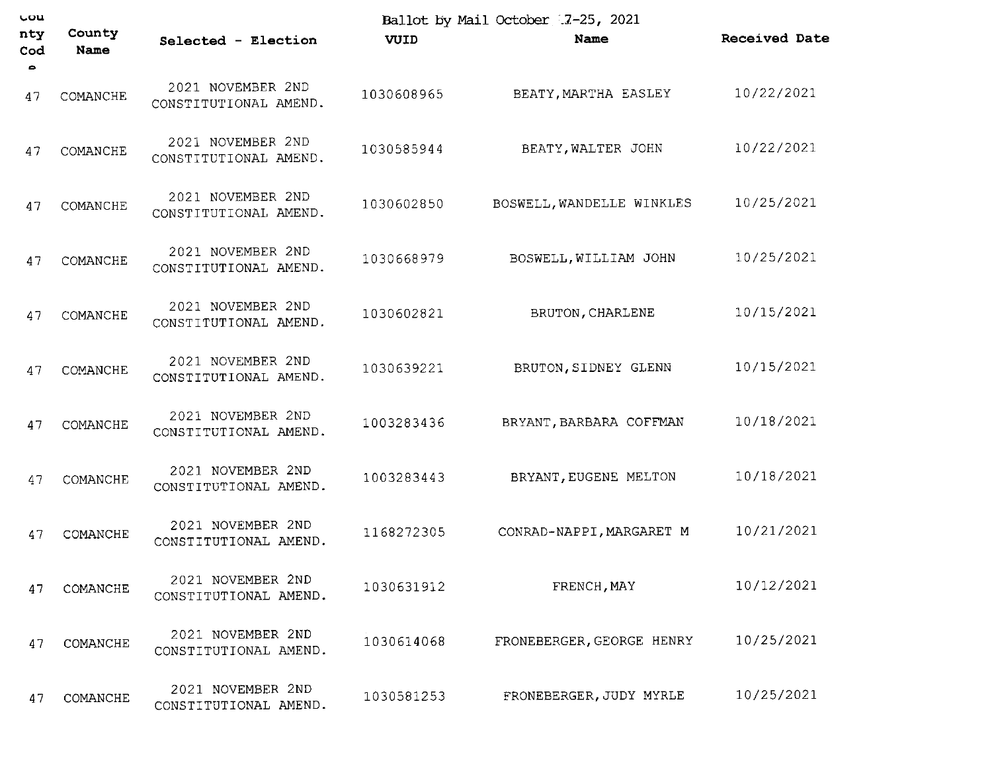| LOU                     |                |                                            | Ballot by Mail October 17-25, 2021 |                           |               |  |
|-------------------------|----------------|--------------------------------------------|------------------------------------|---------------------------|---------------|--|
| nty<br>Cod<br>$\bullet$ | County<br>Name | Selected - Election                        | VUID                               | Name                      | Received Date |  |
| 47                      | COMANCHE       | 2021 NOVEMBER 2ND<br>CONSTITUTIONAL AMEND. | 1030608965                         | BEATY, MARTHA EASLEY      | 10/22/2021    |  |
| 47                      | COMANCHE       | 2021 NOVEMBER 2ND<br>CONSTITUTIONAL AMEND. | 1030585944                         | BEATY, WALTER JOHN        | 10/22/2021    |  |
| 47                      | COMANCHE       | 2021 NOVEMBER 2ND<br>CONSTITUTIONAL AMEND. | 1030602850                         | BOSWELL, WANDELLE WINKLES | 10/25/2021    |  |
| 47                      | COMANCHE       | 2021 NOVEMBER 2ND<br>CONSTITUTIONAL AMEND. | 1030668979                         | BOSWELL, WILLIAM JOHN     | 10/25/2021    |  |
| 47                      | COMANCHE       | 2021 NOVEMBER 2ND<br>CONSTITUTIONAL AMEND. | 1030602821                         | BRUTON, CHARLENE          | 10/15/2021    |  |
| 47                      | COMANCHE       | 2021 NOVEMBER 2ND<br>CONSTITUTIONAL AMEND. | 1030639221                         | BRUTON, SIDNEY GLENN      | 10/15/2021    |  |
| 47                      | COMANCHE       | 2021 NOVEMBER 2ND<br>CONSTITUTIONAL AMEND. | 1003283436                         | BRYANT, BARBARA COFFMAN   | 10/18/2021    |  |
| 47                      | COMANCHE       | 2021 NOVEMBER 2ND<br>CONSTITUTIONAL AMEND. | 1003283443                         | BRYANT, EUGENE MELTON     | 10/18/2021    |  |
| 47                      | COMANCHE       | 2021 NOVEMBER 2ND<br>CONSTITUTIONAL AMEND. | 1168272305                         | CONRAD-NAPPI, MARGARET M  | 10/21/2021    |  |
| 47                      | COMANCHE       | 2021 NOVEMBER 2ND<br>CONSTITUTIONAL AMEND. | 1030631912                         | FRENCH, MAY               | 10/12/2021    |  |
| 47                      | COMANCHE       | 2021 NOVEMBER 2ND<br>CONSTITUTIONAL AMEND. | 1030614068                         | FRONEBERGER, GEORGE HENRY | 10/25/2021    |  |
| 47                      | COMANCHE       | 2021 NOVEMBER 2ND<br>CONSTITUTIONAL AMEND. | 1030581253                         | FRONEBERGER, JUDY MYRLE   | 10/25/2021    |  |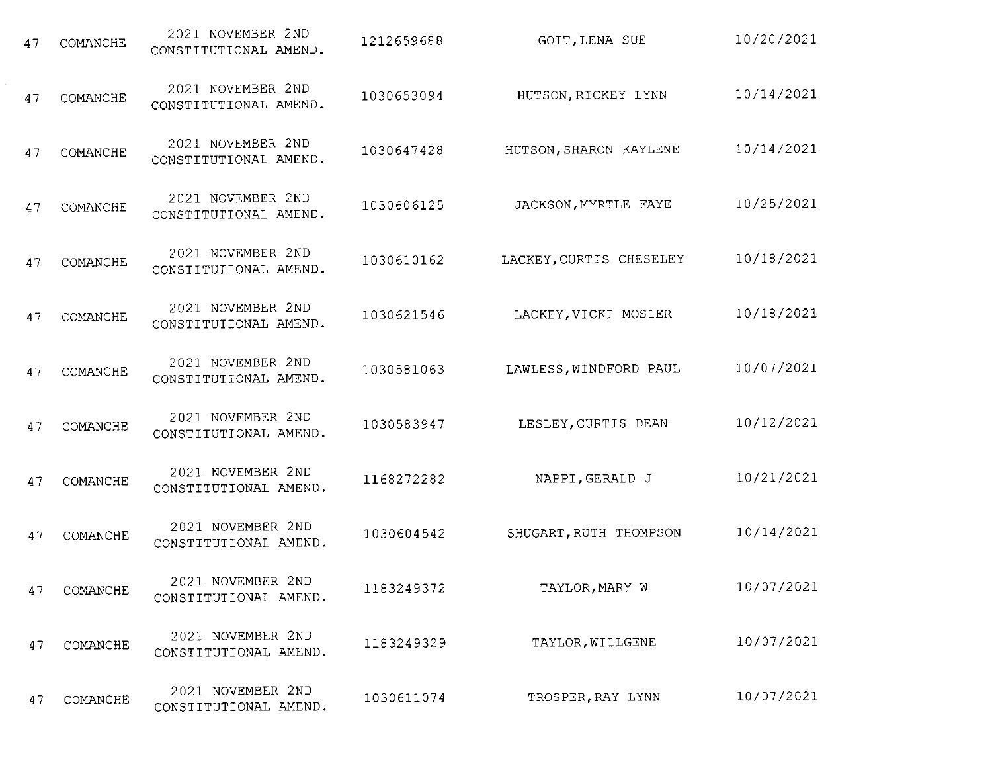| 47 | COMANCHE    | 2021 NOVEMBER 2ND<br>CONSTITUTIONAL AMEND. | 1212659688 | GOTT, LENA SUE          | 10/20/2021 |
|----|-------------|--------------------------------------------|------------|-------------------------|------------|
| 47 | COMANCHE    | 2021 NOVEMBER 2ND<br>CONSTITUTIONAL AMEND. | 1030653094 | HUTSON, RICKEY LYNN     | 10/14/2021 |
| 47 | COMANCHE    | 2021 NOVEMBER 2ND<br>CONSTITUTIONAL AMEND. | 1030647428 | HUTSON, SHARON KAYLENE  | 10/14/2021 |
| 47 | COMANCHE    | 2021 NOVEMBER 2ND<br>CONSTITUTIONAL AMEND. | 1030606125 | JACKSON, MYRTLE FAYE    | 10/25/2021 |
| 47 | COMANCHE    | 2021 NOVEMBER 2ND<br>CONSTITUTIONAL AMEND. | 1030610162 | LACKEY, CURTIS CHESELEY | 10/18/2021 |
| 47 | COMANCHE    | 2021 NOVEMBER 2ND<br>CONSTITUTIONAL AMEND. | 1030621546 | LACKEY, VICKI MOSIER    | 10/18/2021 |
| 47 | COMANCHE    | 2021 NOVEMBER 2ND<br>CONSTITUTIONAL AMEND. | 1030581063 | LAWLESS, WINDFORD PAUL  | 10/07/2021 |
| 47 | COMANCHE    | 2021 NOVEMBER 2ND<br>CONSTITUTIONAL AMEND. | 1030583947 | LESLEY, CURTIS DEAN     | 10/12/2021 |
| 47 | COMANCHE    | 2021 NOVEMBER 2ND<br>CONSTITUTIONAL AMEND. | 1168272282 | NAPPI, GERALD J         | 10/21/2021 |
| 47 | COMANCHE    | 2021 NOVEMBER 2ND<br>CONSTITUTIONAL AMEND. | 1030604542 | SHUGART, RUTH THOMPSON  | 10/14/2021 |
|    | 47 COMANCHE | 2021 NOVEMBER 2ND<br>CONSTITUTIONAL AMEND. | 1183249372 | TAYLOR, MARY W          | 10/07/2021 |
| 47 | COMANCHE    | 2021 NOVEMBER 2ND<br>CONSTITUTIONAL AMEND. | 1183249329 | TAYLOR, WILLGENE        | 10/07/2021 |
| 47 | COMANCHE    | 2021 NOVEMBER 2ND<br>CONSTITUTIONAL AMEND. | 1030611074 | TROSPER, RAY LYNN       | 10/07/2021 |